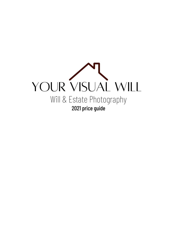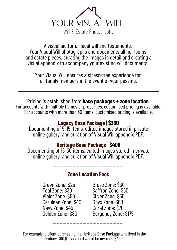

A visual aid for all legal will and testaments, Your Visual Will photographs and documents all heirlooms and estate pieces, curating the images in detail and creating a visual appendix to accompany your existing will documents.

Your Visual Will ensures a stress-free experience for all family members in the event of your passing.

Pricing is established from **base packages** + **zone location**. For accounts with multiple homes or properties, customised pricing is available. For accounts with more than 30 items, customised pricing is available.

#### **Legacy Base Package** | **\$300**

Documenting of 5-15 items, edited images stored in private online gallery, and curation of Visual Will appendix PDF.

#### **Heritage Base Package** | **\$400**

Documenting of 16-30 items, edited images stored in private online gallery, and curation of Visual Will appendix PDF.

#### **Zone Location Fees**

Green Zone: \$25 Teal Zone: \$30 Violet Zone: \$50 Cerulean Zone: \$40 Navy Zone: \$45 Golden Zone: \$80

Brass Zone: \$30 Saffron Zone: \$50 Silver Zone: \$55 Onyx Zone: \$60 Coral Zone: \$70 Burgundy Zone: \$175

For example, a client purchasing the Heritage Base Package who lived in the Sydney CBD (Onyx Zone) would be invoiced \$460.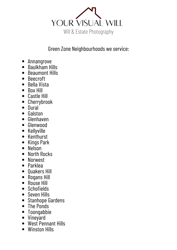

Green Zone Neighbourhoods we service:

- Annangrove
- Baulkham Hills
- Beaumont Hills
- Beecroft
- Bella Vista
- Box Hill
- Castle Hill
- Cherrybrook
- Dural
- Galston
- Glenhaven
- Glenwood
- Kellyville
- Kenthurst
- Kings Park
- Nelson
- North Rocks
- Norwest
- Parklea
- Ouakers Hill
- Rogans Hill
- Rouse Hill
- Schofields
- Seven Hills
- Stanhope Gardens
- The Ponds
- Toongabbie
- Vineyard
- West Pennant Hills
- Winston Hills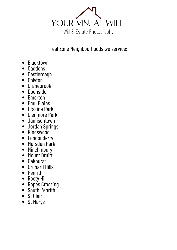

# Teal Zone Neighbourhoods we service:

- Blacktown
- Caddens
- Castlereagh
- Colyton
- Cranebrook
- Doonside
- Emerton
- Emu Plains
- Erskine Park
- Glenmore Park
- Jamisontown
- Jordan Springs
- Kingswood
- Londonderry
- Marsden Park
- Minchinbury
- Mount Druitt
- $\bullet$  0akhurst
- Orchard Hills
- Penrith
- Rooty Hill
- Ropes Crossing
- South Penrith
- St Clair
- St Marys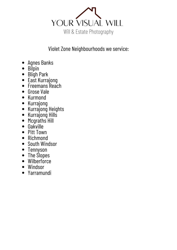

# Violet Zone Neighbourhoods we service:

- Agnes Banks
- Bilpin
- Bligh Park
- East Kurrajong
- Freemans Reach
- Grose Vale
- Kurmond
- Kurrajong
- Kurrajong Heights
- Kurrajong Hills
- Mcgraths Hill
- Oakville
- Pitt Town
- Richmond
- South Windsor
- Tennyson
- The Slopes
- Wilberforce
- Windsor
- Yarramundi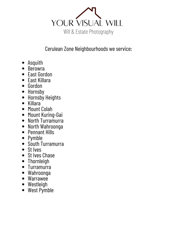

# Cerulean Zone Neighbourhoods we service:

- Asquith
- Berowra
- East Gordon
- East Killara
- Gordon
- Hornsby
- Hornsby Heights
- Killara
- Mount Colah
- Mount Kuring-Gai
- North Turramurra
- North Wahroonga
- Pennant Hills
- Pymble
- South Turramurra
- St Ives
- St Ives Chase
- Thornleigh
- Turramurra
- Wahroonga
- Warrawee
- Westleigh
- West Pymble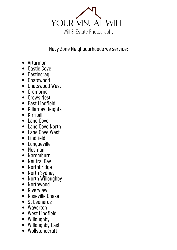

# Navy Zone Neighbourhoods we service:

- Artarmon
- Castle Cove
- Castlecrag
- Chatswood
- Chatswood West
- Cremorne
- Crows Nest
- East Lindfield
- Killarney Heights
- Kirribilli
- Lane Cove
- Lane Cove North
- Lane Cove West
- Lindfield
- Longueville
- $\bullet$  Mosman
- Naremburn
- Neutral Bay
- Northbridge
- North Sydney
- North Willoughby
- Northwood
- Riverview
- Roseville Chase
- St Leonards
- Waverton
- West Lindfield
- Willoughby
- Willoughby East
- Wollstonecraft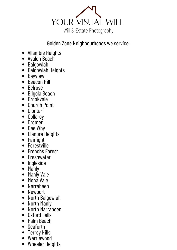

# Golden Zone Neighbourhoods we service:

- Allambie Heights
- Avalon Beach
- Balgowlah
- Balgowlah Heights
- Bayview
- Beacon Hill
- Belrose
- Bilgola Beach
- Brookvale
- Church Point
- Clontarf
- Collaroy
- Cromer
- Dee Why
- Elanora Heights
- Fairlight
- Forestville
- Frenchs Forest
- Freshwater
- Ingleside
- Manly
- Manly Vale
- Mona Vale
- Narrabeen
- Newport
- North Balgowlah
- North Manly
- North Narrabeen
- Oxford Falls
- Palm Beach
- Seaforth
- Terrey Hills  $\bullet$
- Warriewood
- Wheeler Heights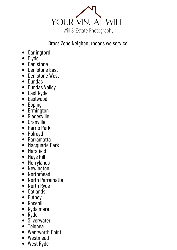

# Brass Zone Neighbourhoods we service:

- Carlingford
- Clyde
- **Denistone**
- Denistone East
- Denistone West
- Dundas
- Dundas Valley
- East Ryde
- Eastwood
- Epping  $\bullet$
- Ermington
- Gladesville
- Granville
- Harris Park
- Holroyd
- Parramatta
- Macquarie Park
- Marsfield  $\bullet$
- Mays Hill
- **Merrylands**  $\bullet$
- Newington
- Northmead
- North Parramatta
- North Ryde
- Oatlands
- Putney
- Rosehill
- Rydalmere  $\bullet$
- Ryde
- Silverwater
- Telopea
- Wentworth Point
- Westmead
- West Ryde $\bullet$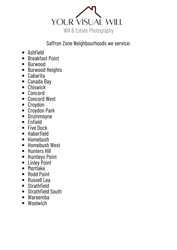

# Saffron Zone Neighbourhoods we service:

- Ashfield
- Breakfast Point
- Burwood
- Burwood Heights
- Cabarita
- Canada Bay
- Chiswick
- Concord
- Concord West
- Croydon
- Croydon Park
- Drummoyne
- Enfield
- Five Dock
- Haberfield
- Homebush
- Homebush West
- Hunters Hill
- Huntleys Point
- Linley Point
- Mortlake
- Rodd Point
- Russell Lea
- Strathfield
- Strathfield South
- Wareemba
- Woolwich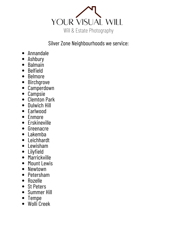

# Silver Zone Neighbourhoods we service:

- Annandale
- Ashbury
- Balmain  $\bullet$
- Belfield
- Belmore
- Birchgrove
- Camperdown  $\bullet$
- Campsie
- Clemton Park
- Dulwich Hill
- Earlwood
- Enmore
- Erskineville
- Greenacre
- Lakemba
- Leichhardt
- Lewisham
- Lilyfield
- Marrickville
- Mount Lewis
- Newtown
- Petersham
- Rozelle
- St Peters
- Summer Hill
- Tempe
- Wolli Creek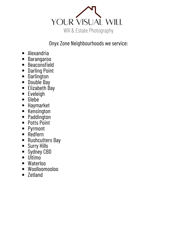

# Onyx Zone Neighbourhoods we service:

- Alexandria
- Barangaroo
- Beaconsfield
- Darling Point
- Darlington
- Double Bay
- Elizabeth Bay
- Eveleigh
- Glebe
- Haymarket
- Kensington
- Paddington
- Potts Point
- Pyrmont
- Redfern
- Rushcutters Bay
- Surry Hills
- Sydney CBD
- Ultimo
- Waterloo
- Woolloomooloo
- Zetland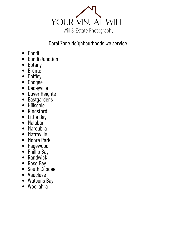

# Coral Zone Neighbourhoods we service:

- Bondi
- Bondi Junction
- Botany
- Bronte
- Chifley
- Coogee
- Daceyville
- Dover Heights
- Eastgardens
- Hillsdale
- Kingsford
- Little Bay
- Malabar
- Maroubra
- Matraville
- Moore Park
- Pagewood
- Phillip Bay
- Randwick
- Rose Bay
- South Coogee
- Vaucluse
- Watsons Bay
- Woollahra